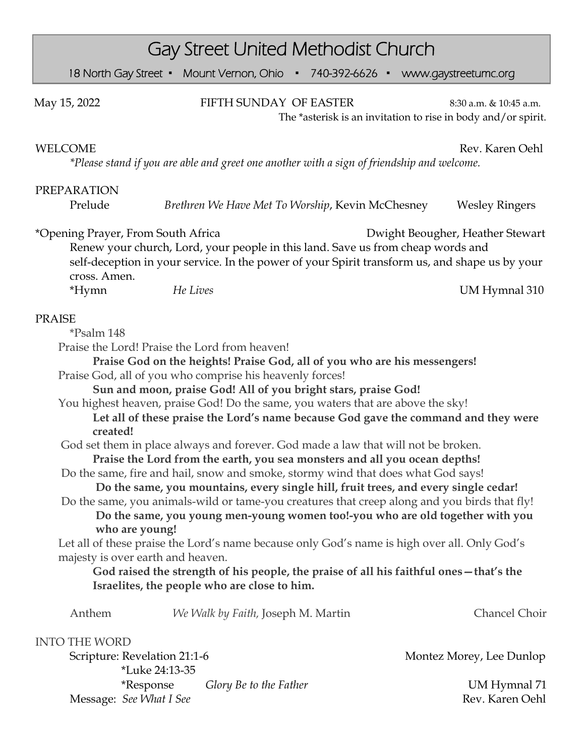| <b>Gay Street United Methodist Church</b>                                                                                                                                                                                                                                                                                                                                                                                                                                                                                                                                                                                                                                                                                                                                                                                                                                                                                                                                                                                                                                                                                                                                                                                                                                                                   |                                                                                         |  |
|-------------------------------------------------------------------------------------------------------------------------------------------------------------------------------------------------------------------------------------------------------------------------------------------------------------------------------------------------------------------------------------------------------------------------------------------------------------------------------------------------------------------------------------------------------------------------------------------------------------------------------------------------------------------------------------------------------------------------------------------------------------------------------------------------------------------------------------------------------------------------------------------------------------------------------------------------------------------------------------------------------------------------------------------------------------------------------------------------------------------------------------------------------------------------------------------------------------------------------------------------------------------------------------------------------------|-----------------------------------------------------------------------------------------|--|
| 18 North Gay Street • Mount Vernon, Ohio • 740-392-6626 • www.gaystreetumc.org                                                                                                                                                                                                                                                                                                                                                                                                                                                                                                                                                                                                                                                                                                                                                                                                                                                                                                                                                                                                                                                                                                                                                                                                                              |                                                                                         |  |
| FIFTH SUNDAY OF EASTER<br>May 15, 2022                                                                                                                                                                                                                                                                                                                                                                                                                                                                                                                                                                                                                                                                                                                                                                                                                                                                                                                                                                                                                                                                                                                                                                                                                                                                      | 8:30 a.m. & 10:45 a.m.<br>The *asterisk is an invitation to rise in body and/or spirit. |  |
| WELCOME<br>*Please stand if you are able and greet one another with a sign of friendship and welcome.                                                                                                                                                                                                                                                                                                                                                                                                                                                                                                                                                                                                                                                                                                                                                                                                                                                                                                                                                                                                                                                                                                                                                                                                       | Rev. Karen Oehl                                                                         |  |
| <b>PREPARATION</b>                                                                                                                                                                                                                                                                                                                                                                                                                                                                                                                                                                                                                                                                                                                                                                                                                                                                                                                                                                                                                                                                                                                                                                                                                                                                                          |                                                                                         |  |
| Prelude<br>Brethren We Have Met To Worship, Kevin McChesney                                                                                                                                                                                                                                                                                                                                                                                                                                                                                                                                                                                                                                                                                                                                                                                                                                                                                                                                                                                                                                                                                                                                                                                                                                                 | <b>Wesley Ringers</b>                                                                   |  |
| *Opening Prayer, From South Africa<br>Dwight Beougher, Heather Stewart<br>Renew your church, Lord, your people in this land. Save us from cheap words and<br>self-deception in your service. In the power of your Spirit transform us, and shape us by your<br>cross. Amen.                                                                                                                                                                                                                                                                                                                                                                                                                                                                                                                                                                                                                                                                                                                                                                                                                                                                                                                                                                                                                                 |                                                                                         |  |
| He Lives<br>*Hymn                                                                                                                                                                                                                                                                                                                                                                                                                                                                                                                                                                                                                                                                                                                                                                                                                                                                                                                                                                                                                                                                                                                                                                                                                                                                                           | UM Hymnal 310                                                                           |  |
| <b>PRAISE</b><br>*Psalm 148<br>Praise the Lord! Praise the Lord from heaven!<br>Praise God on the heights! Praise God, all of you who are his messengers!<br>Praise God, all of you who comprise his heavenly forces!<br>Sun and moon, praise God! All of you bright stars, praise God!<br>You highest heaven, praise God! Do the same, you waters that are above the sky!<br>Let all of these praise the Lord's name because God gave the command and they were<br>created!<br>God set them in place always and forever. God made a law that will not be broken.<br>Praise the Lord from the earth, you sea monsters and all you ocean depths!<br>Do the same, fire and hail, snow and smoke, stormy wind that does what God says!<br>Do the same, you mountains, every single hill, fruit trees, and every single cedar!<br>Do the same, you animals-wild or tame-you creatures that creep along and you birds that fly!<br>Do the same, you young men-young women too!-you who are old together with you<br>who are young!<br>Let all of these praise the Lord's name because only God's name is high over all. Only God's<br>majesty is over earth and heaven.<br>God raised the strength of his people, the praise of all his faithful ones-that's the<br>Israelites, the people who are close to him. |                                                                                         |  |
| Anthem<br>We Walk by Faith, Joseph M. Martin                                                                                                                                                                                                                                                                                                                                                                                                                                                                                                                                                                                                                                                                                                                                                                                                                                                                                                                                                                                                                                                                                                                                                                                                                                                                | Chancel Choir                                                                           |  |
|                                                                                                                                                                                                                                                                                                                                                                                                                                                                                                                                                                                                                                                                                                                                                                                                                                                                                                                                                                                                                                                                                                                                                                                                                                                                                                             |                                                                                         |  |
| <b>INTO THE WORD</b><br>Scripture: Revelation 21:1-6<br>*Luke 24:13-35                                                                                                                                                                                                                                                                                                                                                                                                                                                                                                                                                                                                                                                                                                                                                                                                                                                                                                                                                                                                                                                                                                                                                                                                                                      | Montez Morey, Lee Dunlop                                                                |  |
| <i>*Response</i><br>Glory Be to the Father<br>Message: See What I See                                                                                                                                                                                                                                                                                                                                                                                                                                                                                                                                                                                                                                                                                                                                                                                                                                                                                                                                                                                                                                                                                                                                                                                                                                       | UM Hymnal 71<br>Rev. Karen Oehl                                                         |  |